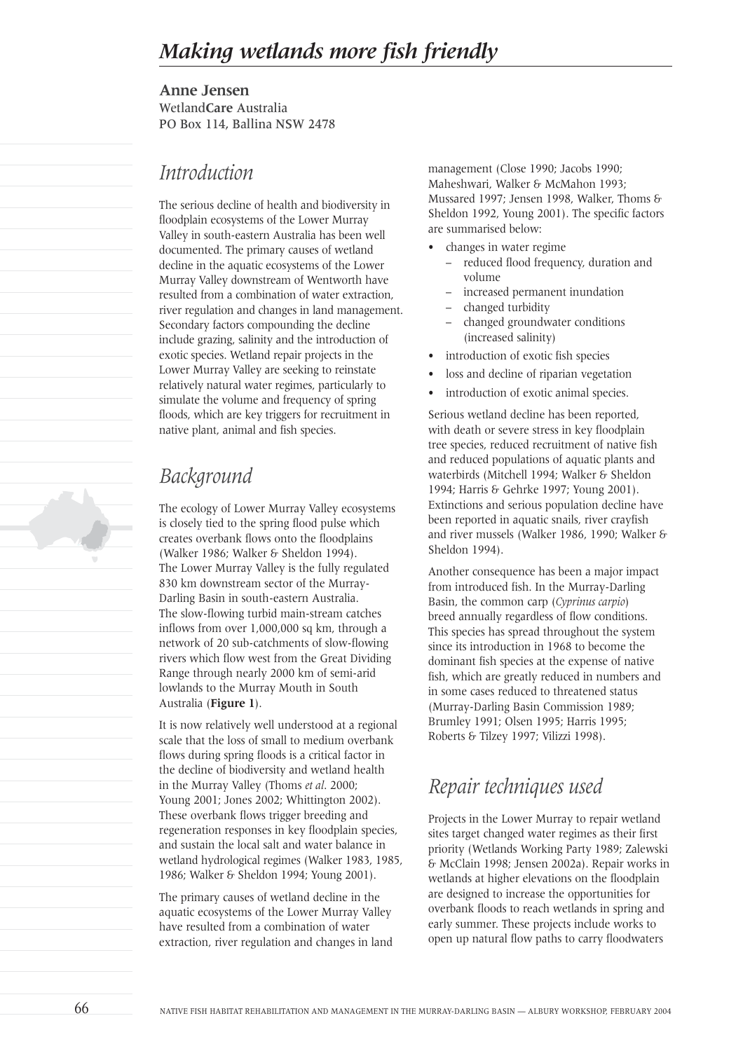**Anne Jensen** Wetland**Care** Australia PO Box 114, Ballina NSW 2478

### *Introduction*

The serious decline of health and biodiversity in floodplain ecosystems of the Lower Murray Valley in south-eastern Australia has been well documented. The primary causes of wetland decline in the aquatic ecosystems of the Lower Murray Valley downstream of Wentworth have resulted from a combination of water extraction, river regulation and changes in land management. Secondary factors compounding the decline include grazing, salinity and the introduction of exotic species. Wetland repair projects in the Lower Murray Valley are seeking to reinstate relatively natural water regimes, particularly to simulate the volume and frequency of spring floods, which are key triggers for recruitment in native plant, animal and fish species.

# *Background*

The ecology of Lower Murray Valley ecosystems is closely tied to the spring flood pulse which creates overbank flows onto the floodplains (Walker 1986; Walker & Sheldon 1994). The Lower Murray Valley is the fully regulated 830 km downstream sector of the Murray-Darling Basin in south-eastern Australia. The slow-flowing turbid main-stream catches inflows from over 1,000,000 sq km, through a network of 20 sub-catchments of slow-flowing rivers which flow west from the Great Dividing Range through nearly 2000 km of semi-arid lowlands to the Murray Mouth in South Australia (**Figure 1**).

It is now relatively well understood at a regional scale that the loss of small to medium overbank flows during spring floods is a critical factor in the decline of biodiversity and wetland health in the Murray Valley (Thoms *et al*. 2000; Young 2001; Jones 2002; Whittington 2002). These overbank flows trigger breeding and regeneration responses in key floodplain species, and sustain the local salt and water balance in wetland hydrological regimes (Walker 1983, 1985, 1986; Walker & Sheldon 1994; Young 2001).

The primary causes of wetland decline in the aquatic ecosystems of the Lower Murray Valley have resulted from a combination of water extraction, river regulation and changes in land management (Close 1990; Jacobs 1990; Maheshwari, Walker & McMahon 1993; Mussared 1997; Jensen 1998, Walker, Thoms & Sheldon 1992, Young 2001). The specific factors are summarised below:

- changes in water regime
	- reduced flood frequency, duration and volume
	- increased permanent inundation
	- changed turbidity
	- changed groundwater conditions (increased salinity)
- introduction of exotic fish species
- loss and decline of riparian vegetation
- introduction of exotic animal species.

Serious wetland decline has been reported, with death or severe stress in key floodplain tree species, reduced recruitment of native fish and reduced populations of aquatic plants and waterbirds (Mitchell 1994; Walker & Sheldon 1994; Harris & Gehrke 1997; Young 2001). Extinctions and serious population decline have been reported in aquatic snails, river crayfish and river mussels (Walker 1986, 1990; Walker & Sheldon 1994).

Another consequence has been a major impact from introduced fish. In the Murray-Darling Basin, the common carp (*Cyprinus carpio*) breed annually regardless of flow conditions. This species has spread throughout the system since its introduction in 1968 to become the dominant fish species at the expense of native fish, which are greatly reduced in numbers and in some cases reduced to threatened status (Murray-Darling Basin Commission 1989; Brumley 1991; Olsen 1995; Harris 1995; Roberts & Tilzey 1997; Vilizzi 1998).

## *Repair techniques used*

Projects in the Lower Murray to repair wetland sites target changed water regimes as their first priority (Wetlands Working Party 1989; Zalewski & McClain 1998; Jensen 2002a). Repair works in wetlands at higher elevations on the floodplain are designed to increase the opportunities for overbank floods to reach wetlands in spring and early summer. These projects include works to open up natural flow paths to carry floodwaters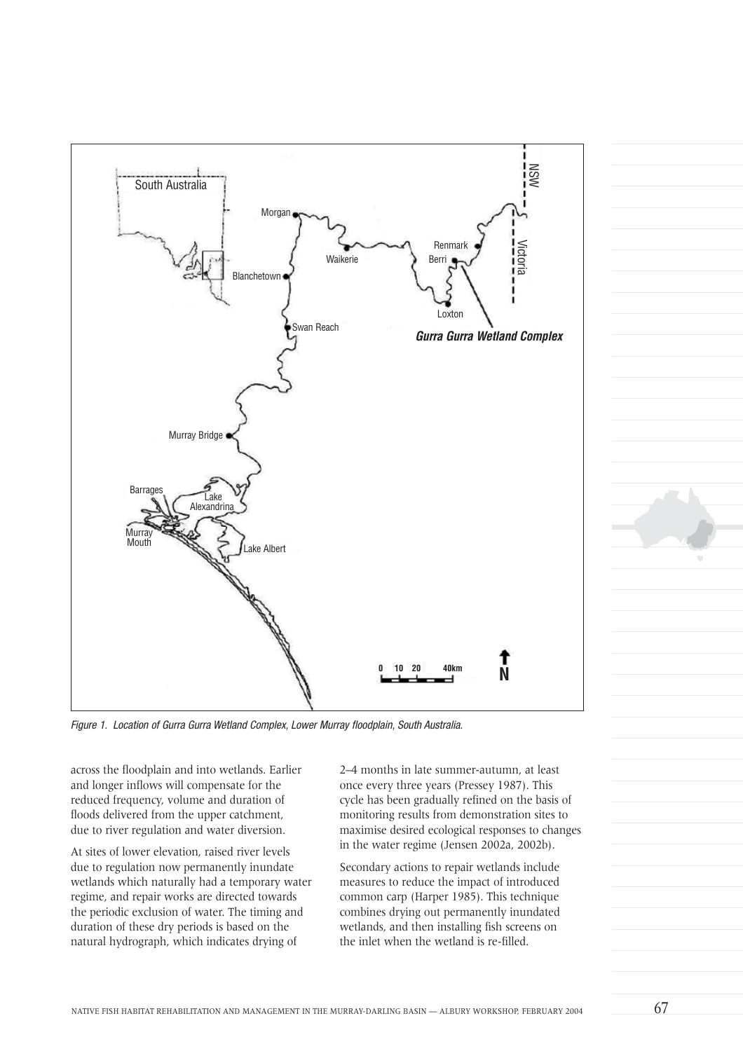

Figure 1. Location of Gurra Gurra Wetland Complex, Lower Murray floodplain, South Australia.

across the floodplain and into wetlands. Earlier and longer inflows will compensate for the reduced frequency, volume and duration of floods delivered from the upper catchment, due to river regulation and water diversion.

At sites of lower elevation, raised river levels due to regulation now permanently inundate wetlands which naturally had a temporary water regime, and repair works are directed towards the periodic exclusion of water. The timing and duration of these dry periods is based on the natural hydrograph, which indicates drying of

2–4 months in late summer-autumn, at least once every three years (Pressey 1987). This cycle has been gradually refined on the basis of monitoring results from demonstration sites to maximise desired ecological responses to changes in the water regime (Jensen 2002a, 2002b).

Secondary actions to repair wetlands include measures to reduce the impact of introduced common carp (Harper 1985). This technique combines drying out permanently inundated wetlands, and then installing fish screens on the inlet when the wetland is re-filled.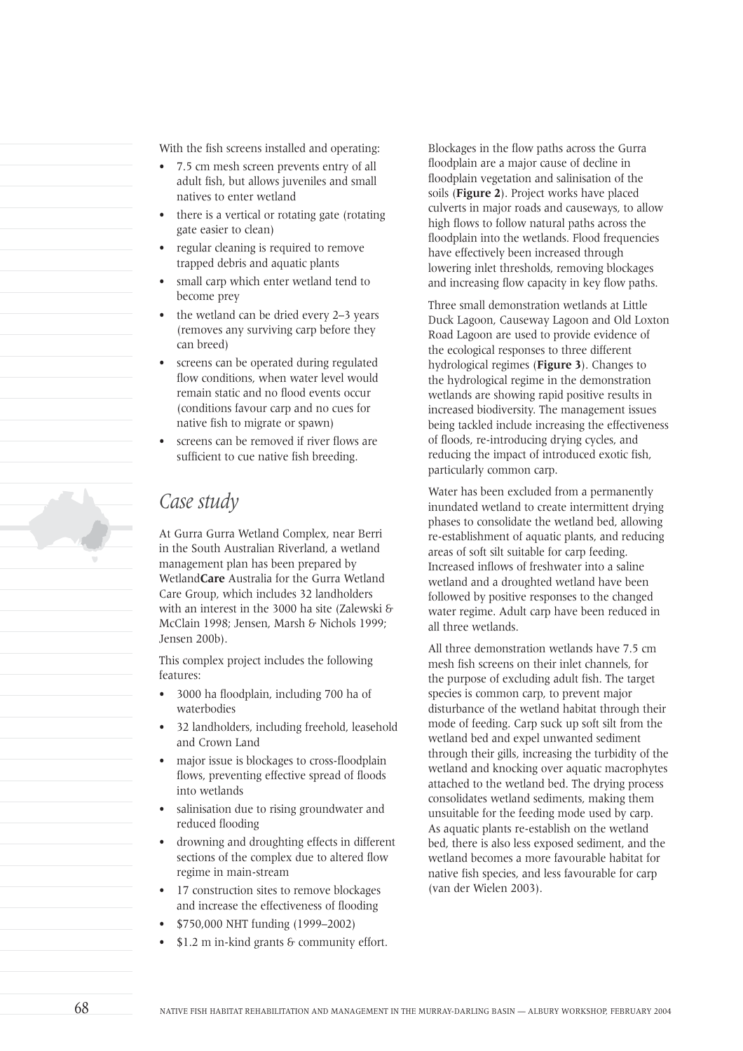With the fish screens installed and operating:

- 7.5 cm mesh screen prevents entry of all adult fish, but allows juveniles and small natives to enter wetland
- there is a vertical or rotating gate (rotating gate easier to clean)
- regular cleaning is required to remove trapped debris and aquatic plants
- small carp which enter wetland tend to become prey
- the wetland can be dried every 2–3 years (removes any surviving carp before they can breed)
- screens can be operated during regulated flow conditions, when water level would remain static and no flood events occur (conditions favour carp and no cues for native fish to migrate or spawn)
- screens can be removed if river flows are sufficient to cue native fish breeding.

### *Case study*

At Gurra Gurra Wetland Complex, near Berri in the South Australian Riverland, a wetland management plan has been prepared by Wetland**Care** Australia for the Gurra Wetland Care Group, which includes 32 landholders with an interest in the 3000 ha site (Zalewski & McClain 1998; Jensen, Marsh & Nichols 1999; Jensen 200b).

This complex project includes the following features:

- 3000 ha floodplain, including 700 ha of waterbodies
- 32 landholders, including freehold, leasehold and Crown Land
- major issue is blockages to cross-floodplain flows, preventing effective spread of floods into wetlands
- salinisation due to rising groundwater and reduced flooding
- drowning and droughting effects in different sections of the complex due to altered flow regime in main-stream
- 17 construction sites to remove blockages and increase the effectiveness of flooding
- \$750,000 NHT funding (1999–2002)
- \$1.2 m in-kind grants & community effort.

Blockages in the flow paths across the Gurra floodplain are a major cause of decline in floodplain vegetation and salinisation of the soils (**Figure 2**). Project works have placed culverts in major roads and causeways, to allow high flows to follow natural paths across the floodplain into the wetlands. Flood frequencies have effectively been increased through lowering inlet thresholds, removing blockages and increasing flow capacity in key flow paths.

Three small demonstration wetlands at Little Duck Lagoon, Causeway Lagoon and Old Loxton Road Lagoon are used to provide evidence of the ecological responses to three different hydrological regimes (**Figure 3**). Changes to the hydrological regime in the demonstration wetlands are showing rapid positive results in increased biodiversity. The management issues being tackled include increasing the effectiveness of floods, re-introducing drying cycles, and reducing the impact of introduced exotic fish, particularly common carp.

Water has been excluded from a permanently inundated wetland to create intermittent drying phases to consolidate the wetland bed, allowing re-establishment of aquatic plants, and reducing areas of soft silt suitable for carp feeding. Increased inflows of freshwater into a saline wetland and a droughted wetland have been followed by positive responses to the changed water regime. Adult carp have been reduced in all three wetlands.

All three demonstration wetlands have 7.5 cm mesh fish screens on their inlet channels, for the purpose of excluding adult fish. The target species is common carp, to prevent major disturbance of the wetland habitat through their mode of feeding. Carp suck up soft silt from the wetland bed and expel unwanted sediment through their gills, increasing the turbidity of the wetland and knocking over aquatic macrophytes attached to the wetland bed. The drying process consolidates wetland sediments, making them unsuitable for the feeding mode used by carp. As aquatic plants re-establish on the wetland bed, there is also less exposed sediment, and the wetland becomes a more favourable habitat for native fish species, and less favourable for carp (van der Wielen 2003).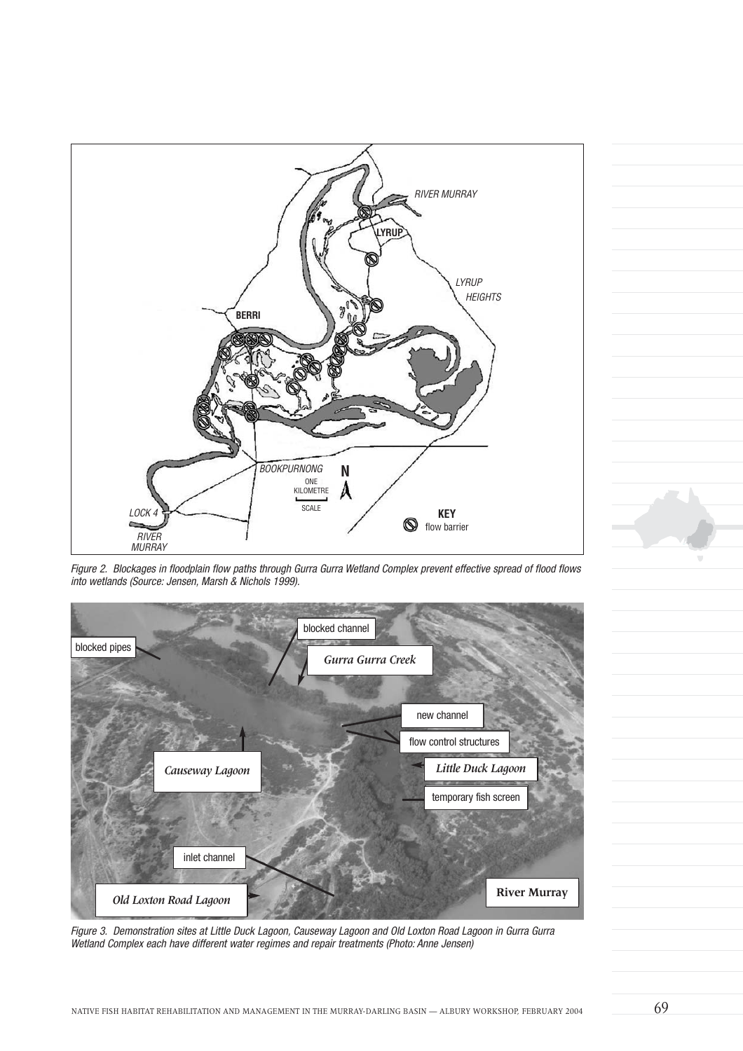

Figure 2. Blockages in floodplain flow paths through Gurra Gurra Wetland Complex prevent effective spread of flood flows into wetlands (Source: Jensen, Marsh & Nichols 1999).



Figure 3. Demonstration sites at Little Duck Lagoon, Causeway Lagoon and Old Loxton Road Lagoon in Gurra Gurra Wetland Complex each have different water regimes and repair treatments (Photo: Anne Jensen)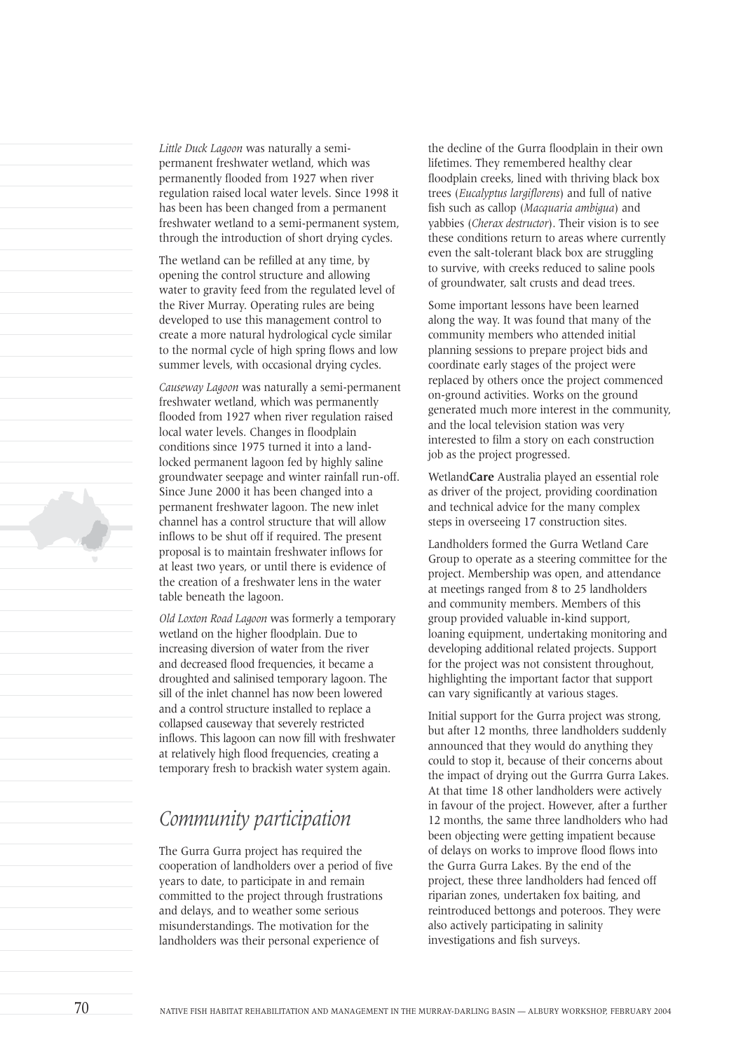*Little Duck Lagoon* was naturally a semipermanent freshwater wetland, which was permanently flooded from 1927 when river regulation raised local water levels. Since 1998 it has been has been changed from a permanent freshwater wetland to a semi-permanent system, through the introduction of short drying cycles.

The wetland can be refilled at any time, by opening the control structure and allowing water to gravity feed from the regulated level of the River Murray. Operating rules are being developed to use this management control to create a more natural hydrological cycle similar to the normal cycle of high spring flows and low summer levels, with occasional drying cycles.

*Causeway Lagoon* was naturally a semi-permanent freshwater wetland, which was permanently flooded from 1927 when river regulation raised local water levels. Changes in floodplain conditions since 1975 turned it into a landlocked permanent lagoon fed by highly saline groundwater seepage and winter rainfall run-off. Since June 2000 it has been changed into a permanent freshwater lagoon. The new inlet channel has a control structure that will allow inflows to be shut off if required. The present proposal is to maintain freshwater inflows for at least two years, or until there is evidence of the creation of a freshwater lens in the water table beneath the lagoon.

*Old Loxton Road Lagoon* was formerly a temporary wetland on the higher floodplain. Due to increasing diversion of water from the river and decreased flood frequencies, it became a droughted and salinised temporary lagoon. The sill of the inlet channel has now been lowered and a control structure installed to replace a collapsed causeway that severely restricted inflows. This lagoon can now fill with freshwater at relatively high flood frequencies, creating a temporary fresh to brackish water system again.

# *Community participation*

The Gurra Gurra project has required the cooperation of landholders over a period of five years to date, to participate in and remain committed to the project through frustrations and delays, and to weather some serious misunderstandings. The motivation for the landholders was their personal experience of

the decline of the Gurra floodplain in their own lifetimes. They remembered healthy clear floodplain creeks, lined with thriving black box trees (*Eucalyptus largiflorens*) and full of native fish such as callop (*Macquaria ambigua*) and yabbies (*Cherax destructor*). Their vision is to see these conditions return to areas where currently even the salt-tolerant black box are struggling to survive, with creeks reduced to saline pools of groundwater, salt crusts and dead trees.

Some important lessons have been learned along the way. It was found that many of the community members who attended initial planning sessions to prepare project bids and coordinate early stages of the project were replaced by others once the project commenced on-ground activities. Works on the ground generated much more interest in the community, and the local television station was very interested to film a story on each construction job as the project progressed.

Wetland**Care** Australia played an essential role as driver of the project, providing coordination and technical advice for the many complex steps in overseeing 17 construction sites.

Landholders formed the Gurra Wetland Care Group to operate as a steering committee for the project. Membership was open, and attendance at meetings ranged from 8 to 25 landholders and community members. Members of this group provided valuable in-kind support, loaning equipment, undertaking monitoring and developing additional related projects. Support for the project was not consistent throughout, highlighting the important factor that support can vary significantly at various stages.

Initial support for the Gurra project was strong, but after 12 months, three landholders suddenly announced that they would do anything they could to stop it, because of their concerns about the impact of drying out the Gurrra Gurra Lakes. At that time 18 other landholders were actively in favour of the project. However, after a further 12 months, the same three landholders who had been objecting were getting impatient because of delays on works to improve flood flows into the Gurra Gurra Lakes. By the end of the project, these three landholders had fenced off riparian zones, undertaken fox baiting, and reintroduced bettongs and poteroos. They were also actively participating in salinity investigations and fish surveys.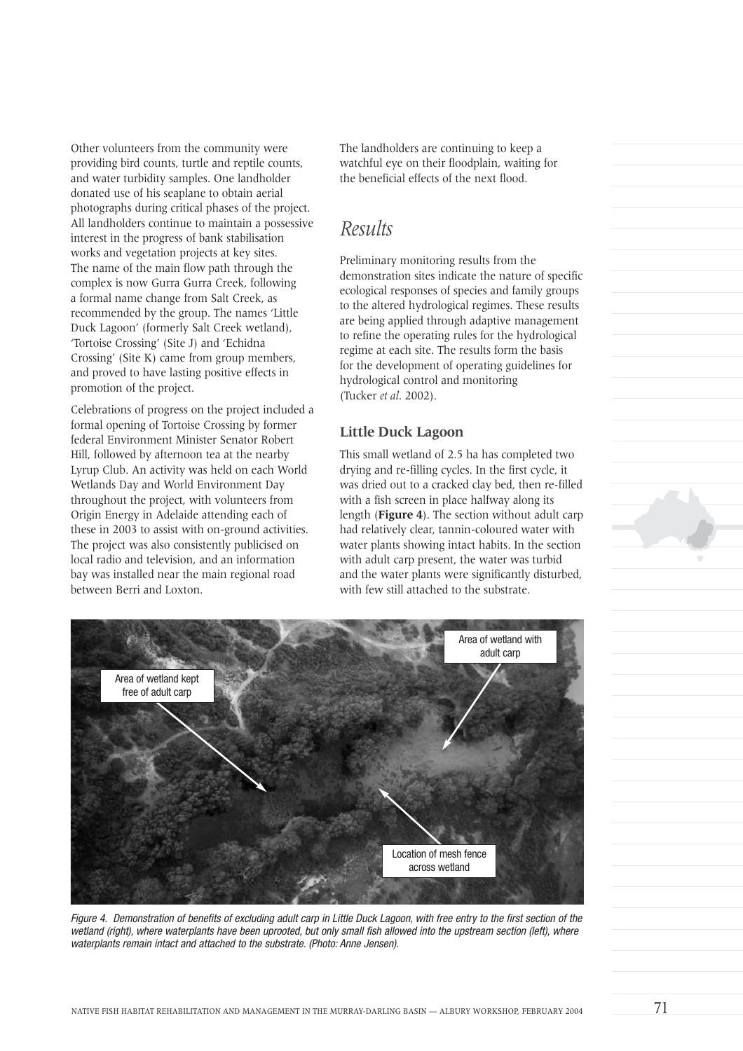Other volunteers from the community were providing bird counts, turtle and reptile counts, and water turbidity samples. One landholder donated use of his seaplane to obtain aerial photographs during critical phases of the project. All landholders continue to maintain a possessive interest in the progress of bank stabilisation works and vegetation projects at key sites. The name of the main flow path through the complex is now Gurra Gurra Creek, following a formal name change from Salt Creek, as recommended by the group. The names 'Little Duck Lagoon' (formerly Salt Creek wetland), 'Tortoise Crossing' (Site J) and 'Echidna Crossing' (Site K) came from group members, and proved to have lasting positive effects in promotion of the project.

Celebrations of progress on the project included a formal opening of Tortoise Crossing by former federal Environment Minister Senator Robert Hill, followed by afternoon tea at the nearby Lyrup Club. An activity was held on each World Wetlands Day and World Environment Day throughout the project, with volunteers from Origin Energy in Adelaide attending each of these in 2003 to assist with on-ground activities. The project was also consistently publicised on local radio and television, and an information bay was installed near the main regional road between Berri and Loxton.

The landholders are continuing to keep a watchful eye on their floodplain, waiting for the beneficial effects of the next flood.

### *Results*

Preliminary monitoring results from the demonstration sites indicate the nature of specific ecological responses of species and family groups to the altered hydrological regimes. These results are being applied through adaptive management to refine the operating rules for the hydrological regime at each site. The results form the basis for the development of operating guidelines for hydrological control and monitoring (Tucker *et al*. 2002).

#### **Little Duck Lagoon**

This small wetland of 2.5 ha has completed two drying and re-filling cycles. In the first cycle, it was dried out to a cracked clay bed, then re-filled with a fish screen in place halfway along its length (**Figure 4**). The section without adult carp had relatively clear, tannin-coloured water with water plants showing intact habits. In the section with adult carp present, the water was turbid and the water plants were significantly disturbed, with few still attached to the substrate.



Figure 4. Demonstration of benefits of excluding adult carp in Little Duck Lagoon, with free entry to the first section of the wetland (right), where waterplants have been uprooted, but only small fish allowed into the upstream section (left), where waterplants remain intact and attached to the substrate. (Photo: Anne Jensen).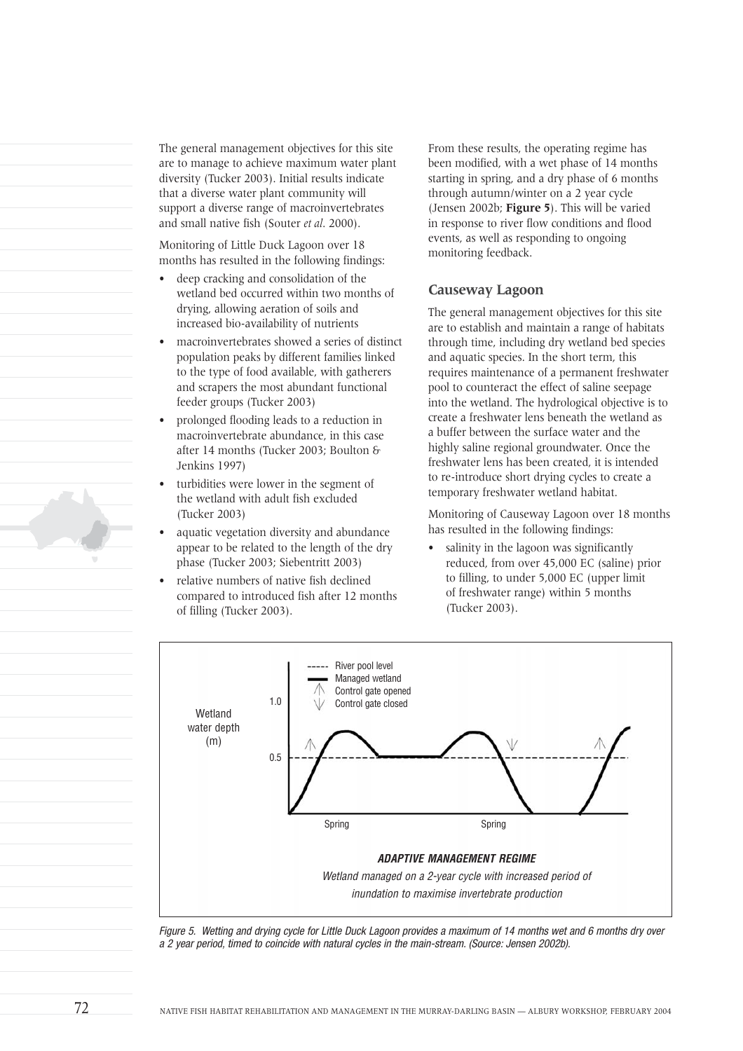The general management objectives for this site are to manage to achieve maximum water plant diversity (Tucker 2003). Initial results indicate that a diverse water plant community will support a diverse range of macroinvertebrates and small native fish (Souter *et al*. 2000).

Monitoring of Little Duck Lagoon over 18 months has resulted in the following findings:

- deep cracking and consolidation of the wetland bed occurred within two months of drying, allowing aeration of soils and increased bio-availability of nutrients
- macroinvertebrates showed a series of distinct population peaks by different families linked to the type of food available, with gatherers and scrapers the most abundant functional feeder groups (Tucker 2003)
- prolonged flooding leads to a reduction in macroinvertebrate abundance, in this case after 14 months (Tucker 2003; Boulton & Jenkins 1997)
- turbidities were lower in the segment of the wetland with adult fish excluded (Tucker 2003)
- aquatic vegetation diversity and abundance appear to be related to the length of the dry phase (Tucker 2003; Siebentritt 2003)
- relative numbers of native fish declined compared to introduced fish after 12 months of filling (Tucker 2003).

From these results, the operating regime has been modified, with a wet phase of 14 months starting in spring, and a dry phase of 6 months through autumn/winter on a 2 year cycle (Jensen 2002b; **Figure 5**). This will be varied in response to river flow conditions and flood events, as well as responding to ongoing monitoring feedback.

#### **Causeway Lagoon**

The general management objectives for this site are to establish and maintain a range of habitats through time, including dry wetland bed species and aquatic species. In the short term, this requires maintenance of a permanent freshwater pool to counteract the effect of saline seepage into the wetland. The hydrological objective is to create a freshwater lens beneath the wetland as a buffer between the surface water and the highly saline regional groundwater. Once the freshwater lens has been created, it is intended to re-introduce short drying cycles to create a temporary freshwater wetland habitat.

Monitoring of Causeway Lagoon over 18 months has resulted in the following findings:

salinity in the lagoon was significantly reduced, from over 45,000 EC (saline) prior to filling, to under 5,000 EC (upper limit of freshwater range) within 5 months (Tucker 2003).



Figure 5. Wetting and drying cycle for Little Duck Lagoon provides a maximum of 14 months wet and 6 months dry over a 2 year period, timed to coincide with natural cycles in the main-stream. (Source: Jensen 2002b).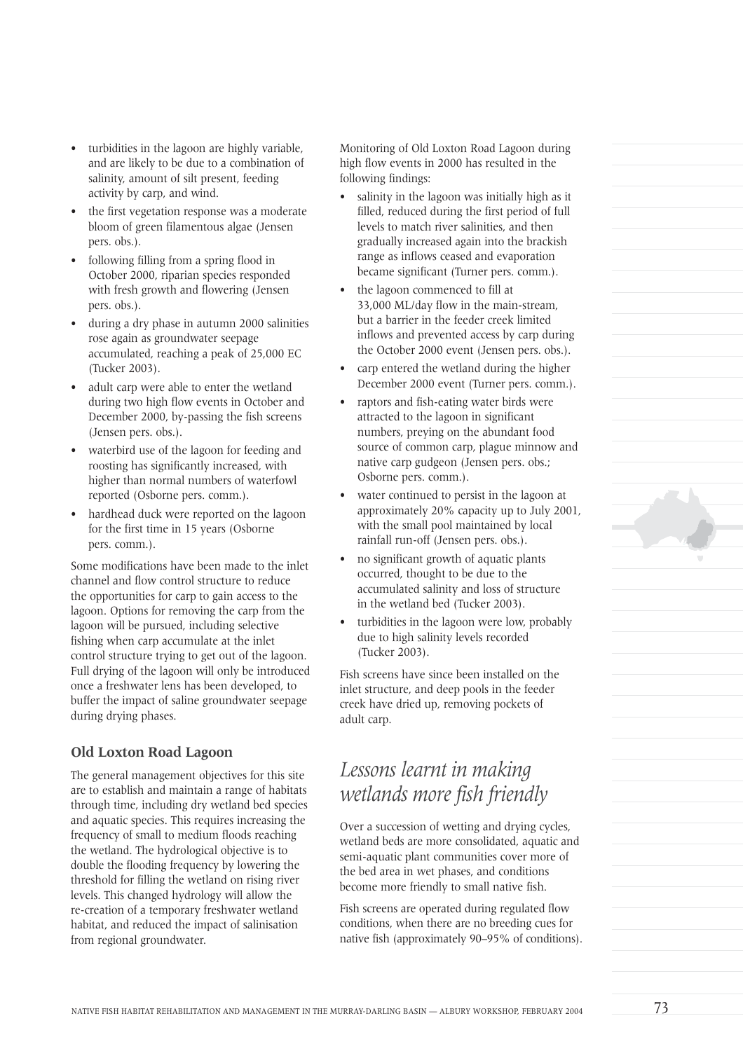- turbidities in the lagoon are highly variable, and are likely to be due to a combination of salinity, amount of silt present, feeding activity by carp, and wind.
- the first vegetation response was a moderate bloom of green filamentous algae (Jensen pers. obs.).
- following filling from a spring flood in October 2000, riparian species responded with fresh growth and flowering (Jensen pers. obs.).
- during a dry phase in autumn 2000 salinities rose again as groundwater seepage accumulated, reaching a peak of 25,000 EC (Tucker 2003).
- adult carp were able to enter the wetland during two high flow events in October and December 2000, by-passing the fish screens (Jensen pers. obs.).
- waterbird use of the lagoon for feeding and roosting has significantly increased, with higher than normal numbers of waterfowl reported (Osborne pers. comm.).
- hardhead duck were reported on the lagoon for the first time in 15 years (Osborne pers. comm.).

Some modifications have been made to the inlet channel and flow control structure to reduce the opportunities for carp to gain access to the lagoon. Options for removing the carp from the lagoon will be pursued, including selective fishing when carp accumulate at the inlet control structure trying to get out of the lagoon. Full drying of the lagoon will only be introduced once a freshwater lens has been developed, to buffer the impact of saline groundwater seepage during drying phases.

#### **Old Loxton Road Lagoon**

The general management objectives for this site are to establish and maintain a range of habitats through time, including dry wetland bed species and aquatic species. This requires increasing the frequency of small to medium floods reaching the wetland. The hydrological objective is to double the flooding frequency by lowering the threshold for filling the wetland on rising river levels. This changed hydrology will allow the re-creation of a temporary freshwater wetland habitat, and reduced the impact of salinisation from regional groundwater.

Monitoring of Old Loxton Road Lagoon during high flow events in 2000 has resulted in the following findings:

- salinity in the lagoon was initially high as it filled, reduced during the first period of full levels to match river salinities, and then gradually increased again into the brackish range as inflows ceased and evaporation became significant (Turner pers. comm.).
- the lagoon commenced to fill at 33,000 ML/day flow in the main-stream, but a barrier in the feeder creek limited inflows and prevented access by carp during the October 2000 event (Jensen pers. obs.).
- carp entered the wetland during the higher December 2000 event (Turner pers. comm.).
- raptors and fish-eating water birds were attracted to the lagoon in significant numbers, preying on the abundant food source of common carp, plague minnow and native carp gudgeon (Jensen pers. obs.; Osborne pers. comm.).
- water continued to persist in the lagoon at approximately 20% capacity up to July 2001, with the small pool maintained by local rainfall run-off (Jensen pers. obs.).
- no significant growth of aquatic plants occurred, thought to be due to the accumulated salinity and loss of structure in the wetland bed (Tucker 2003).
- turbidities in the lagoon were low, probably due to high salinity levels recorded (Tucker 2003).

Fish screens have since been installed on the inlet structure, and deep pools in the feeder creek have dried up, removing pockets of adult carp.

# *Lessons learnt in making wetlands more fish friendly*

Over a succession of wetting and drying cycles, wetland beds are more consolidated, aquatic and semi-aquatic plant communities cover more of the bed area in wet phases, and conditions become more friendly to small native fish.

Fish screens are operated during regulated flow conditions, when there are no breeding cues for native fish (approximately 90–95% of conditions).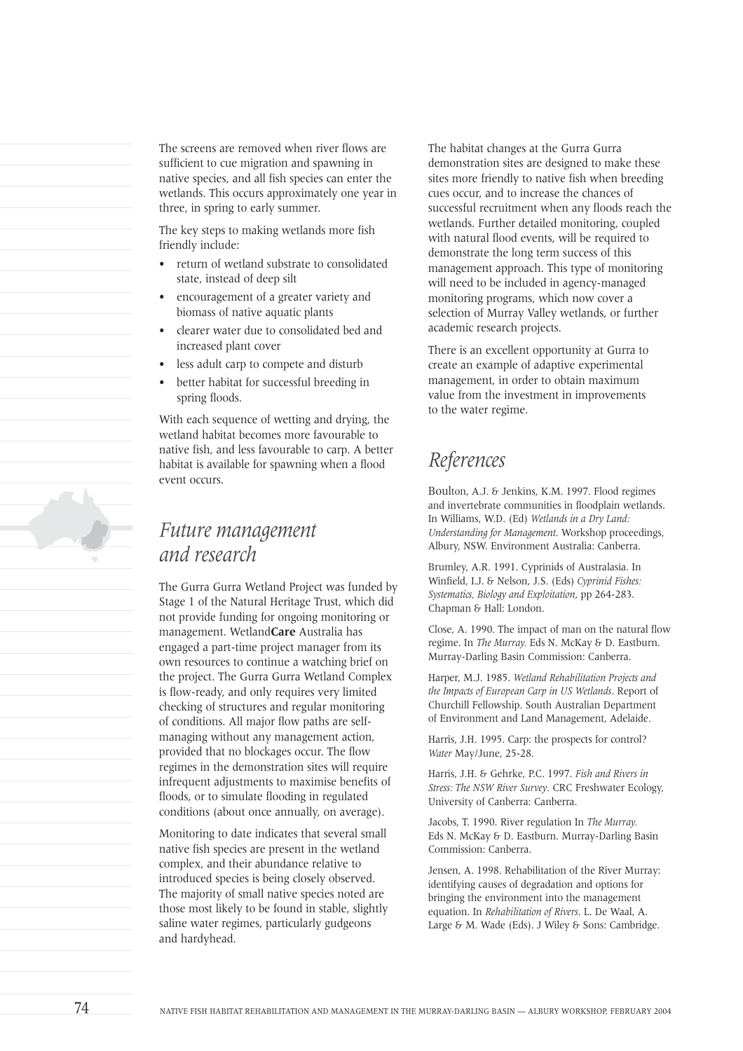The screens are removed when river flows are sufficient to cue migration and spawning in native species, and all fish species can enter the wetlands. This occurs approximately one year in three, in spring to early summer.

The key steps to making wetlands more fish friendly include:

- return of wetland substrate to consolidated state, instead of deep silt
- encouragement of a greater variety and biomass of native aquatic plants
- clearer water due to consolidated bed and increased plant cover
- less adult carp to compete and disturb
- better habitat for successful breeding in spring floods.

With each sequence of wetting and drying, the wetland habitat becomes more favourable to native fish, and less favourable to carp. A better habitat is available for spawning when a flood event occurs.

### *Future management and research*

The Gurra Gurra Wetland Project was funded by Stage 1 of the Natural Heritage Trust, which did not provide funding for ongoing monitoring or management. Wetland**Care** Australia has engaged a part-time project manager from its own resources to continue a watching brief on the project. The Gurra Gurra Wetland Complex is flow-ready, and only requires very limited checking of structures and regular monitoring of conditions. All major flow paths are selfmanaging without any management action, provided that no blockages occur. The flow regimes in the demonstration sites will require infrequent adjustments to maximise benefits of floods, or to simulate flooding in regulated conditions (about once annually, on average).

Monitoring to date indicates that several small native fish species are present in the wetland complex, and their abundance relative to introduced species is being closely observed. The majority of small native species noted are those most likely to be found in stable, slightly saline water regimes, particularly gudgeons and hardyhead.

The habitat changes at the Gurra Gurra demonstration sites are designed to make these sites more friendly to native fish when breeding cues occur, and to increase the chances of successful recruitment when any floods reach the wetlands. Further detailed monitoring, coupled with natural flood events, will be required to demonstrate the long term success of this management approach. This type of monitoring will need to be included in agency-managed monitoring programs, which now cover a selection of Murray Valley wetlands, or further academic research projects.

There is an excellent opportunity at Gurra to create an example of adaptive experimental management, in order to obtain maximum value from the investment in improvements to the water regime.

# *References*

Boulton, A.J. & Jenkins, K.M. 1997. Flood regimes and invertebrate communities in floodplain wetlands. In Williams, W.D. (Ed) *Wetlands in a Dry Land: Understanding for Management*. Workshop proceedings, Albury, NSW. Environment Australia: Canberra.

Brumley, A.R. 1991. Cyprinids of Australasia. In Winfield, I.J. & Nelson, J.S. (Eds) *Cyprinid Fishes: Systematics, Biology and Exploitation*, pp 264-283. Chapman & Hall: London.

Close, A. 1990. The impact of man on the natural flow regime. In *The Murray.* Eds N. McKay & D. Eastburn. Murray-Darling Basin Commission: Canberra.

Harper, M.J. 1985. *Wetland Rehabilitation Projects and the Impacts of European Carp in US Wetlands*. Report of Churchill Fellowship. South Australian Department of Environment and Land Management, Adelaide.

Harris, J.H. 1995. Carp: the prospects for control? *Water* May/June, 25-28.

Harris, J.H. & Gehrke, P.C. 1997. *Fish and Rivers in Stress: The NSW River Survey*. CRC Freshwater Ecology, University of Canberra: Canberra.

Jacobs, T. 1990. River regulation In *The Murray.* Eds N. McKay & D. Eastburn. Murray-Darling Basin Commission: Canberra.

Jensen, A. 1998. Rehabilitation of the River Murray: identifying causes of degradation and options for bringing the environment into the management equation. In *Rehabilitation of Rivers*. L. De Waal, A. Large & M. Wade (Eds). J Wiley & Sons: Cambridge.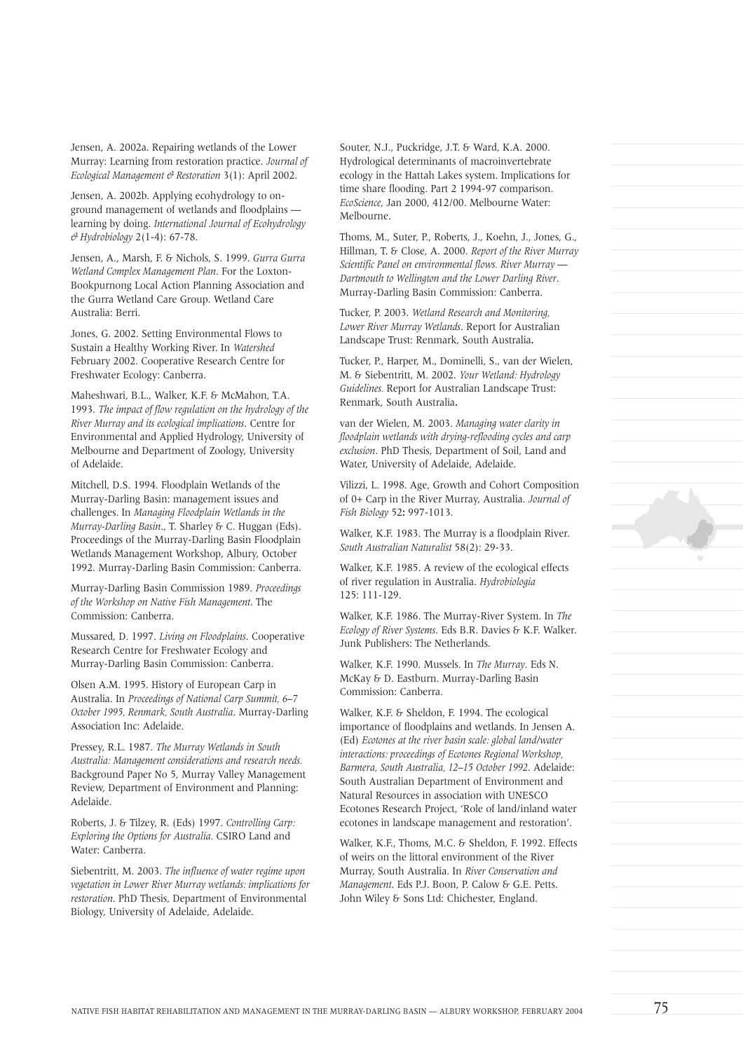Jensen, A. 2002a. Repairing wetlands of the Lower Murray: Learning from restoration practice. *Journal of Ecological Management & Restoration* 3(1): April 2002.

Jensen, A. 2002b. Applying ecohydrology to onground management of wetlands and floodplains learning by doing. *International Journal of Ecohydrology & Hydrobiology* 2(1-4): 67-78.

Jensen, A., Marsh, F. & Nichols, S. 1999. *Gurra Gurra Wetland Complex Management Plan*. For the Loxton-Bookpurnong Local Action Planning Association and the Gurra Wetland Care Group. Wetland Care Australia: Berri.

Jones, G. 2002. Setting Environmental Flows to Sustain a Healthy Working River. In *Watershed* February 2002. Cooperative Research Centre for Freshwater Ecology: Canberra.

Maheshwari, B.L., Walker, K.F. & McMahon, T.A. 1993. *The impact of flow regulation on the hydrology of the River Murray and its ecological implications*. Centre for Environmental and Applied Hydrology, University of Melbourne and Department of Zoology, University of Adelaide.

Mitchell, D.S. 1994. Floodplain Wetlands of the Murray-Darling Basin: management issues and challenges. In *Managing Floodplain Wetlands in the Murray-Darling Basin*., T. Sharley & C. Huggan (Eds). Proceedings of the Murray-Darling Basin Floodplain Wetlands Management Workshop, Albury, October 1992. Murray-Darling Basin Commission: Canberra.

Murray-Darling Basin Commission 1989. *Proceedings of the Workshop on Native Fish Management*. The Commission: Canberra.

Mussared, D. 1997. *Living on Floodplains*. Cooperative Research Centre for Freshwater Ecology and Murray-Darling Basin Commission: Canberra.

Olsen A.M. 1995. History of European Carp in Australia. In *Proceedings of National Carp Summit, 6–7 October 1995, Renmark, South Australia*. Murray-Darling Association Inc: Adelaide.

Pressey, R.L. 1987. *The Murray Wetlands in South Australia: Management considerations and research needs.* Background Paper No 5, Murray Valley Management Review, Department of Environment and Planning: Adelaide.

Roberts, J. & Tilzey, R. (Eds) 1997. *Controlling Carp: Exploring the Options for Australia.* CSIRO Land and Water: Canberra.

Siebentritt, M. 2003. *The influence of water regime upon vegetation in Lower River Murray wetlands: implications for restoration*. PhD Thesis, Department of Environmental Biology, University of Adelaide, Adelaide.

Souter, N.J., Puckridge, J.T. & Ward, K.A. 2000. Hydrological determinants of macroinvertebrate ecology in the Hattah Lakes system. Implications for time share flooding. Part 2 1994-97 comparison. *EcoScience*, Jan 2000, 412/00. Melbourne Water: Melbourne.

Thoms, M., Suter, P., Roberts, J., Koehn, J., Jones, G., Hillman, T. & Close, A. 2000. *Report of the River Murray Scientific Panel on environmental flows. River Murray — Dartmouth to Wellington and the Lower Darling River*. Murray-Darling Basin Commission: Canberra.

Tucker, P. 2003. *Wetland Research and Monitoring, Lower River Murray Wetlands*. Report for Australian Landscape Trust: Renmark, South Australia**.**

Tucker, P., Harper, M., Dominelli, S., van der Wielen, M. & Siebentritt, M. 2002. *Your Wetland: Hydrology Guidelines.* Report for Australian Landscape Trust: Renmark, South Australia**.**

van der Wielen, M. 2003. *Managing water clarity in floodplain wetlands with drying-reflooding cycles and carp exclusion*. PhD Thesis, Department of Soil, Land and Water, University of Adelaide, Adelaide.

Vilizzi, L. 1998. Age, Growth and Cohort Composition of 0+ Carp in the River Murray, Australia. *Journal of Fish Biology* 52**:** 997-1013.

Walker, K.F. 1983. The Murray is a floodplain River. *South Australian Naturalist* 58(2): 29-33.

Walker, K.F. 1985. A review of the ecological effects of river regulation in Australia. *Hydrobiologia* 125: 111-129.

Walker, K.F. 1986. The Murray-River System. In *The Ecology of River Systems*. Eds B.R. Davies & K.F. Walker. Junk Publishers: The Netherlands.

Walker, K.F. 1990. Mussels. In *The Murray*. Eds N. McKay & D. Eastburn. Murray-Darling Basin Commission: Canberra.

Walker, K.F. & Sheldon, F. 1994. The ecological importance of floodplains and wetlands. In Jensen A. (Ed) *Ecotones at the river basin scale: global land/water interactions: proceedings of Ecotones Regional Workshop, Barmera, South Australia, 12–15 October 1992*. Adelaide: South Australian Department of Environment and Natural Resources in association with UNESCO Ecotones Research Project, 'Role of land/inland water ecotones in landscape management and restoration'.

Walker, K.F., Thoms, M.C. & Sheldon, F. 1992. Effects of weirs on the littoral environment of the River Murray, South Australia. In *River Conservation and Management*. Eds P.J. Boon, P. Calow & G.E. Petts. John Wiley & Sons Ltd: Chichester, England.